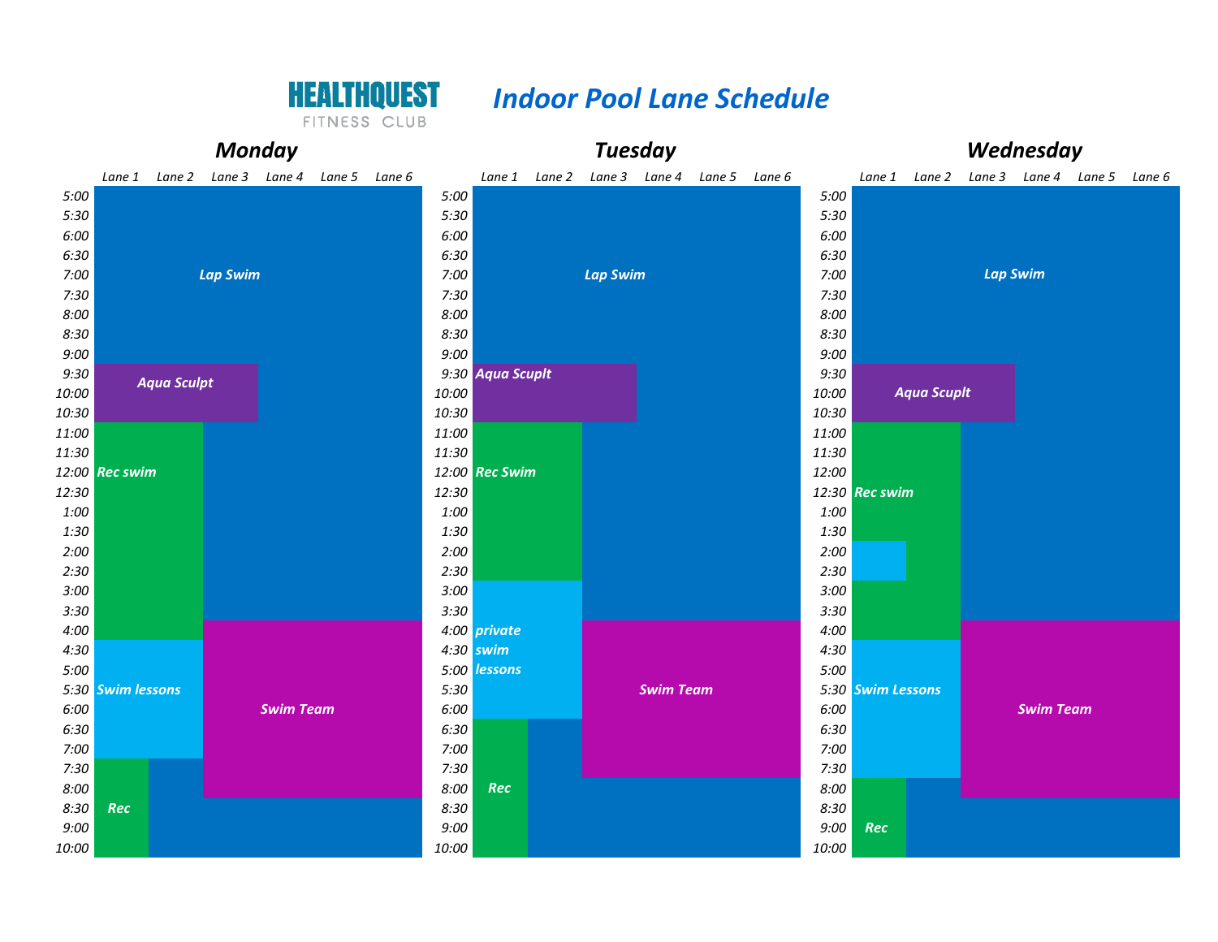

## *Indoor Pool Lane Schedule*

FITNESS CLUB

| <b>Monday</b> |                   |                    |  |                  |                             |  |           | <b>Tuesday</b>   |  |                             |                  |               |  |       |                   | Wednesday          |                 |                  |                                           |  |  |  |  |
|---------------|-------------------|--------------------|--|------------------|-----------------------------|--|-----------|------------------|--|-----------------------------|------------------|---------------|--|-------|-------------------|--------------------|-----------------|------------------|-------------------------------------------|--|--|--|--|
|               |                   | Lane 1 Lane 2      |  |                  | Lane 3 Lane 4 Lane 5 Lane 6 |  |           |                  |  | Lane 1 Lane 2 Lane 3 Lane 4 |                  | Lane 5 Lane 6 |  |       |                   |                    |                 |                  | Lane 1 Lane 2 Lane 3 Lane 4 Lane 5 Lane 6 |  |  |  |  |
| 5:00          |                   |                    |  |                  |                             |  | 5:00      |                  |  |                             |                  |               |  | 5:00  |                   |                    |                 |                  |                                           |  |  |  |  |
| 5:30          |                   |                    |  |                  |                             |  | 5:30      |                  |  |                             |                  |               |  | 5:30  |                   |                    |                 |                  |                                           |  |  |  |  |
| 6:00          |                   |                    |  |                  |                             |  | 6:00      |                  |  |                             |                  |               |  | 6:00  |                   |                    |                 |                  |                                           |  |  |  |  |
| 6:30          |                   |                    |  |                  |                             |  |           |                  |  |                             |                  |               |  | 6:30  |                   |                    |                 |                  |                                           |  |  |  |  |
| 7:00          |                   | <b>Lap Swim</b>    |  |                  |                             |  |           |                  |  | <b>Lap Swim</b>             |                  |               |  | 7:00  |                   |                    | <b>Lap Swim</b> |                  |                                           |  |  |  |  |
| 7:30          |                   |                    |  |                  |                             |  |           | 7:30<br>8:00     |  |                             |                  |               |  |       | 7:30              |                    |                 |                  |                                           |  |  |  |  |
| 8:00          |                   |                    |  |                  |                             |  |           |                  |  |                             |                  |               |  | 8:00  |                   |                    |                 |                  |                                           |  |  |  |  |
| 8:30          |                   |                    |  |                  |                             |  | 8:30      |                  |  |                             |                  |               |  | 8:30  |                   |                    |                 |                  |                                           |  |  |  |  |
| 9:00          |                   |                    |  |                  |                             |  | 9:00      |                  |  |                             |                  |               |  | 9:00  |                   |                    |                 |                  |                                           |  |  |  |  |
| 9:30          |                   | <b>Aqua Sculpt</b> |  |                  |                             |  |           | 9:30 Aqua Scupit |  |                             |                  |               |  | 9:30  |                   |                    |                 |                  |                                           |  |  |  |  |
| 10:00         |                   |                    |  |                  |                             |  | 10:00     |                  |  |                             |                  |               |  | 10:00 |                   | <b>Aqua Scupit</b> |                 |                  |                                           |  |  |  |  |
| 10:30         |                   |                    |  |                  |                             |  | 10:30     |                  |  |                             |                  |               |  | 10:30 |                   |                    |                 |                  |                                           |  |  |  |  |
| 11:00         |                   |                    |  |                  |                             |  | 11:00     |                  |  |                             |                  |               |  | 11:00 |                   |                    |                 |                  |                                           |  |  |  |  |
| 11:30         |                   |                    |  |                  |                             |  | 11:30     |                  |  |                             |                  |               |  | 11:30 |                   |                    |                 |                  |                                           |  |  |  |  |
| 12:30         | 12:00 Rec swim    |                    |  |                  |                             |  | 12:30     | 12:00 Rec Swim   |  |                             |                  |               |  | 12:00 | 12:30 Rec swim    |                    |                 |                  |                                           |  |  |  |  |
| 1:00          |                   |                    |  |                  |                             |  | 1:00      |                  |  |                             |                  |               |  | 1:00  |                   |                    |                 |                  |                                           |  |  |  |  |
| 1:30          |                   |                    |  |                  |                             |  | 1:30      |                  |  |                             |                  |               |  | 1:30  |                   |                    |                 |                  |                                           |  |  |  |  |
| 2:00          |                   |                    |  |                  |                             |  | 2:00      |                  |  |                             |                  |               |  | 2:00  |                   |                    |                 |                  |                                           |  |  |  |  |
| 2:30          |                   |                    |  |                  |                             |  | 2:30      |                  |  |                             |                  |               |  | 2:30  |                   |                    |                 |                  |                                           |  |  |  |  |
| 3:00          |                   |                    |  |                  |                             |  | 3:00      |                  |  |                             |                  |               |  | 3:00  |                   |                    |                 |                  |                                           |  |  |  |  |
| 3:30          |                   |                    |  |                  |                             |  | 3:30      |                  |  |                             |                  |               |  | 3:30  |                   |                    |                 |                  |                                           |  |  |  |  |
| 4:00          |                   |                    |  |                  |                             |  |           | 4:00 private     |  |                             |                  |               |  | 4:00  |                   |                    |                 |                  |                                           |  |  |  |  |
| 4:30          |                   |                    |  |                  |                             |  | 4:30 swim |                  |  |                             |                  |               |  | 4:30  |                   |                    |                 |                  |                                           |  |  |  |  |
| 5:00          |                   |                    |  |                  |                             |  |           | 5:00 lessons     |  |                             |                  |               |  | 5:00  |                   |                    |                 |                  |                                           |  |  |  |  |
|               | 5:30 Swim lessons |                    |  |                  |                             |  | 5:30      |                  |  |                             | <b>Swim Team</b> |               |  |       | 5:30 Swim Lessons |                    |                 |                  |                                           |  |  |  |  |
| 6:00          |                   |                    |  | <b>Swim Team</b> |                             |  | 6:00      |                  |  |                             |                  |               |  | 6:00  |                   |                    |                 | <b>Swim Team</b> |                                           |  |  |  |  |
| 6:30          |                   |                    |  |                  |                             |  | 6:30      |                  |  |                             |                  |               |  | 6:30  |                   |                    |                 |                  |                                           |  |  |  |  |
| 7:00          |                   |                    |  |                  |                             |  | 7:00      |                  |  |                             |                  |               |  | 7:00  |                   |                    |                 |                  |                                           |  |  |  |  |
| 7:30          |                   |                    |  |                  |                             |  | 7:30      |                  |  |                             |                  |               |  | 7:30  |                   |                    |                 |                  |                                           |  |  |  |  |
| 8:00          |                   |                    |  |                  |                             |  | 8:00      | Rec              |  |                             |                  |               |  | 8:00  |                   |                    |                 |                  |                                           |  |  |  |  |
| 8:30          | Rec               |                    |  |                  |                             |  | 8:30      |                  |  |                             |                  |               |  | 8:30  |                   |                    |                 |                  |                                           |  |  |  |  |
| 9:00          |                   |                    |  |                  |                             |  | 9:00      |                  |  |                             |                  |               |  | 9:00  | Rec               |                    |                 |                  |                                           |  |  |  |  |
| 10:00         |                   |                    |  |                  |                             |  | 10:00     |                  |  |                             |                  |               |  | 10:00 |                   |                    |                 |                  |                                           |  |  |  |  |